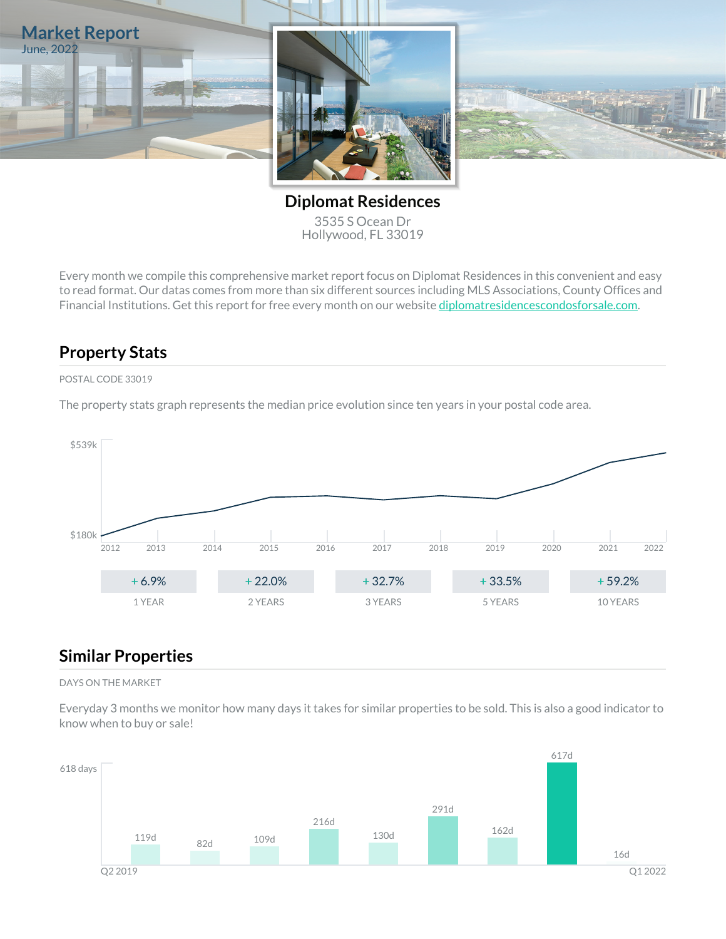

**Diplomat Residences** 3535 S Ocean Dr Hollywood, FL 33019

Every month we compile this comprehensive market report focus on Diplomat Residences in this convenient and easy to read format. Our datas comes from more than six different sources including MLS Associations, County Offices and Financial Institutions. Get this report for free every month on our website [diplomatresidencescondosforsale.com.](https://diplomatresidencescondosforsale.com)

## **Property Stats**

### POSTAL CODE 33019

The property stats graph represents the median price evolution since ten years in your postal code area.



## **Similar Properties**

#### DAYS ON THE MARKET

Everyday 3 months we monitor how many days it takes for similar properties to be sold. This is also a good indicator to know when to buy or sale!

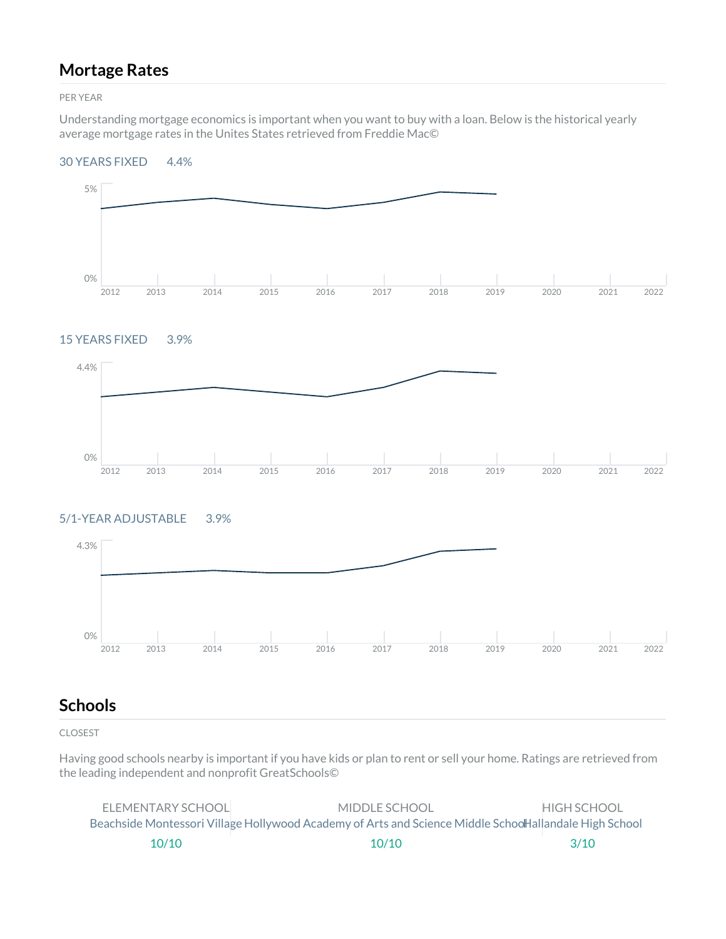## **Mortage Rates**

PER YEAR

Understanding mortgage economics is important when you want to buy with a loan. Below is the historical yearly average mortgage rates in the Unites States retrieved from Freddie Mac©

#### 30 YEARS FIXED 4.4%



### 15 YEARS FIXED 3.9%



### 5/1-YEAR ADJUSTABLE 3.9%



## **Schools**

CLOSEST

Having good schools nearby is important if you have kids or plan to rent or sell your home. Ratings are retrieved from the leading independent and nonprofit GreatSchools©

| ELEMENTARY SCHOOL | MIDDLE SCHOOL                                                                                          | <b>HIGH SCHOOL</b> |
|-------------------|--------------------------------------------------------------------------------------------------------|--------------------|
|                   | Beachside Montessori Village Hollywood Academy of Arts and Science Middle SchoolHallandale High School |                    |
| 10/10             | 10/10                                                                                                  | 3/10               |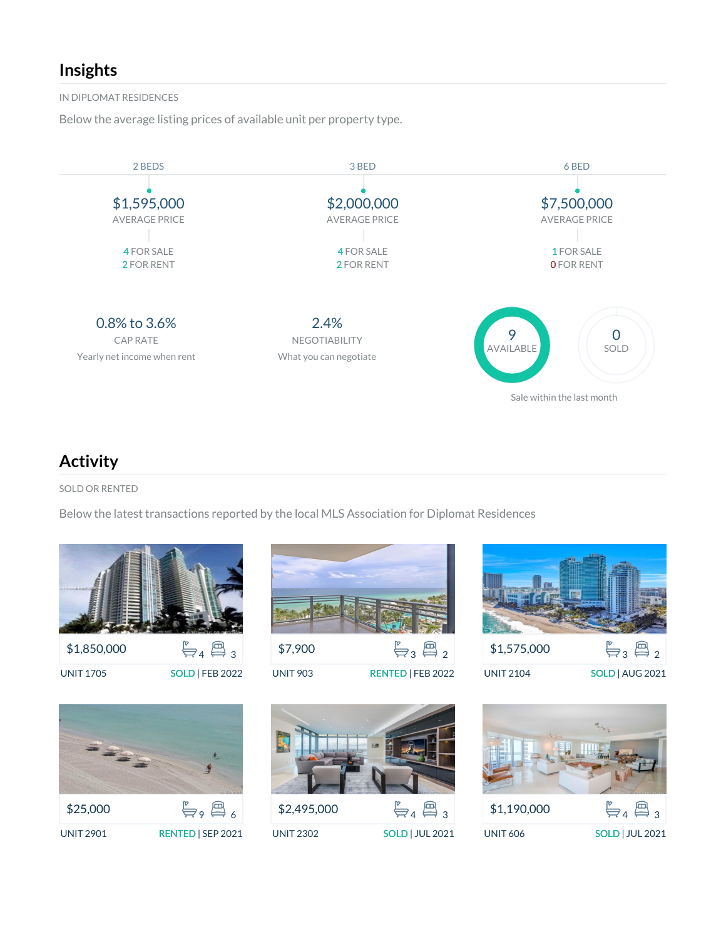## **Insights**

IN DIPLOMAT RESIDENCES

Below the average listing prices of available unit per property type.



## **Activity**

SOLD OR RENTED

Below the latest transactions reported by the local MLS Association for Diplomat Residences



UNIT 1705 SOLD | FEB 2022



\$7,900  $\frac{p}{\sum 3}$   $\sum_2$ 

UNIT 903 RENTED | FEB 2022



UNIT 2104 SOLD | AUG 2021





UNIT 2302 SOLD | JUL 2021

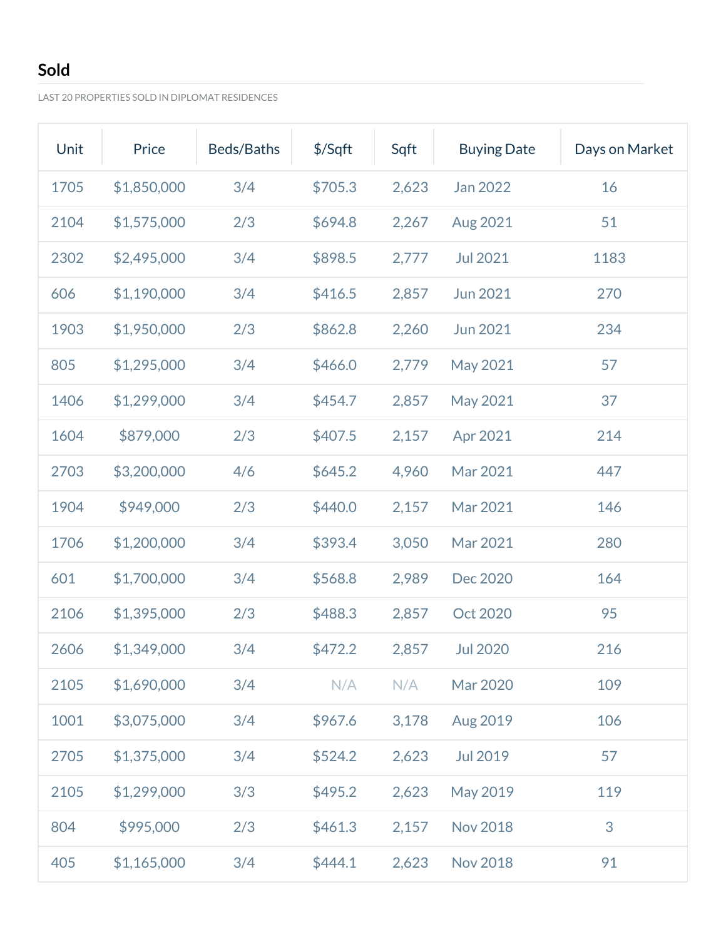# **Sold**

LAST 20 PROPERTIES SOLD IN DIPLOMAT RESIDENCES

| Unit | Price       | Beds/Baths | $$$ /Sqft | Sqft  | <b>Buying Date</b> | Days on Market |
|------|-------------|------------|-----------|-------|--------------------|----------------|
| 1705 | \$1,850,000 | 3/4        | \$705.3   | 2,623 | Jan 2022           | 16             |
| 2104 | \$1,575,000 | 2/3        | \$694.8   | 2,267 | Aug 2021           | 51             |
| 2302 | \$2,495,000 | 3/4        | \$898.5   | 2,777 | <b>Jul 2021</b>    | 1183           |
| 606  | \$1,190,000 | 3/4        | \$416.5   | 2,857 | Jun 2021           | 270            |
| 1903 | \$1,950,000 | 2/3        | \$862.8   | 2,260 | <b>Jun 2021</b>    | 234            |
| 805  | \$1,295,000 | 3/4        | \$466.0   | 2,779 | May 2021           | 57             |
| 1406 | \$1,299,000 | 3/4        | \$454.7   | 2,857 | May 2021           | 37             |
| 1604 | \$879,000   | 2/3        | \$407.5   | 2,157 | Apr 2021           | 214            |
| 2703 | \$3,200,000 | 4/6        | \$645.2   | 4,960 | Mar 2021           | 447            |
| 1904 | \$949,000   | 2/3        | \$440.0   | 2,157 | Mar 2021           | 146            |
| 1706 | \$1,200,000 | 3/4        | \$393.4   | 3,050 | Mar 2021           | 280            |
| 601  | \$1,700,000 | 3/4        | \$568.8   | 2,989 | Dec 2020           | 164            |
| 2106 | \$1,395,000 | 2/3        | \$488.3   | 2,857 | Oct 2020           | 95             |
| 2606 | \$1,349,000 | 3/4        | \$472.2   | 2,857 | <b>Jul 2020</b>    | 216            |
| 2105 | \$1,690,000 | 3/4        | N/A       | N/A   | Mar 2020           | 109            |
| 1001 | \$3,075,000 | 3/4        | \$967.6   | 3,178 | Aug 2019           | 106            |
| 2705 | \$1,375,000 | 3/4        | \$524.2   | 2,623 | Jul 2019           | 57             |
| 2105 | \$1,299,000 | 3/3        | \$495.2   | 2,623 | May 2019           | 119            |
| 804  | \$995,000   | 2/3        | \$461.3   | 2,157 | <b>Nov 2018</b>    | 3              |
| 405  | \$1,165,000 | 3/4        | \$444.1   | 2,623 | <b>Nov 2018</b>    | 91             |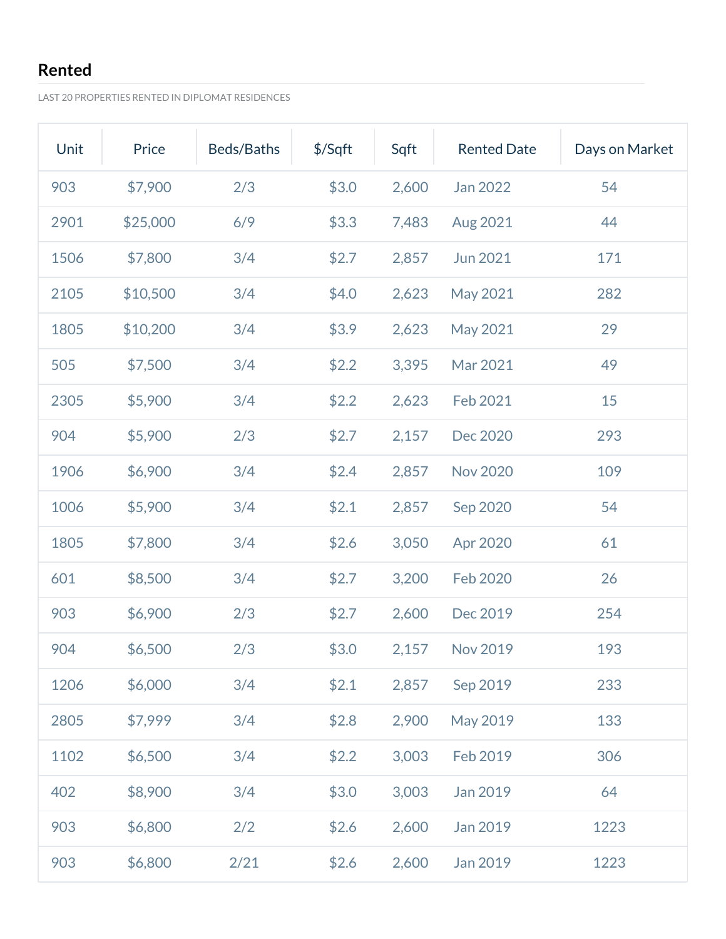# **Rented**

LAST 20 PROPERTIES RENTED IN DIPLOMAT RESIDENCES

| Unit | Price    | Beds/Baths | $$$ /Sqft | Sqft  | <b>Rented Date</b> | Days on Market |
|------|----------|------------|-----------|-------|--------------------|----------------|
| 903  | \$7,900  | 2/3        | \$3.0     | 2,600 | Jan 2022           | 54             |
| 2901 | \$25,000 | 6/9        | \$3.3     | 7,483 | Aug 2021           | 44             |
| 1506 | \$7,800  | 3/4        | \$2.7     | 2,857 | <b>Jun 2021</b>    | 171            |
| 2105 | \$10,500 | 3/4        | \$4.0     | 2,623 | May 2021           | 282            |
| 1805 | \$10,200 | 3/4        | \$3.9     | 2,623 | May 2021           | 29             |
| 505  | \$7,500  | 3/4        | \$2.2     | 3,395 | Mar 2021           | 49             |
| 2305 | \$5,900  | 3/4        | \$2.2     | 2,623 | Feb 2021           | 15             |
| 904  | \$5,900  | 2/3        | \$2.7     | 2,157 | Dec 2020           | 293            |
| 1906 | \$6,900  | 3/4        | \$2.4     | 2,857 | <b>Nov 2020</b>    | 109            |
| 1006 | \$5,900  | 3/4        | \$2.1     | 2,857 | Sep 2020           | 54             |
| 1805 | \$7,800  | 3/4        | \$2.6     | 3,050 | Apr 2020           | 61             |
| 601  | \$8,500  | 3/4        | \$2.7     | 3,200 | Feb 2020           | 26             |
| 903  | \$6,900  | 2/3        | \$2.7     | 2,600 | Dec 2019           | 254            |
| 904  | \$6,500  | 2/3        | \$3.0     | 2,157 | Nov 2019           | 193            |
| 1206 | \$6,000  | 3/4        | \$2.1     | 2,857 | Sep 2019           | 233            |
| 2805 | \$7,999  | 3/4        | \$2.8     | 2,900 | May 2019           | 133            |
| 1102 | \$6,500  | 3/4        | \$2.2     | 3,003 | Feb 2019           | 306            |
| 402  | \$8,900  | 3/4        | \$3.0     | 3,003 | Jan 2019           | 64             |
| 903  | \$6,800  | 2/2        | \$2.6     | 2,600 | Jan 2019           | 1223           |
| 903  | \$6,800  | 2/21       | \$2.6     | 2,600 | Jan 2019           | 1223           |